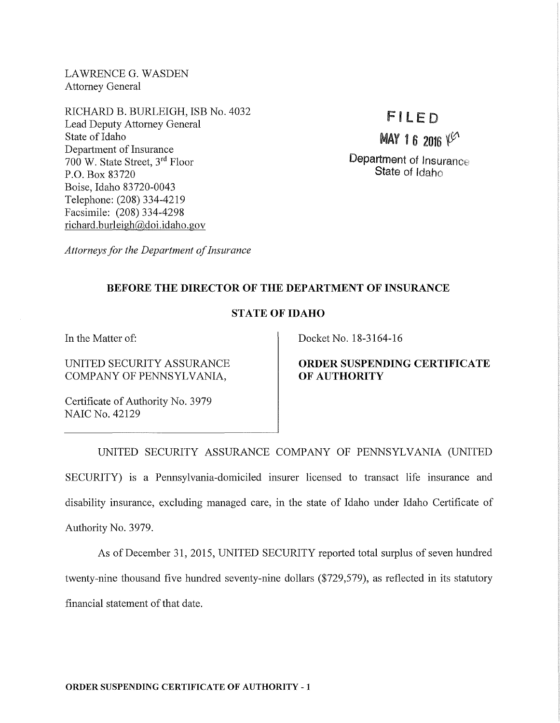LAWRENCE G. WASDEN Attorney General

RICHARD B. BURLEIGH, ISB No. 4032 Lead Deputy Attorney General State of Idaho Department of Insurance 700 W. State Street, 3rd Floor P.O. Box 83720 Boise, Idaho 83720-0043 Telephone: (208) 334-4219 Facsimile: (208) 334-4298 richard.burleigh@doi.idaho.gov

# FILED

MAY 16 2016  $V^{(1)}$ 

**Department of Insurance State** of Idaho

*Attorneys for the Department of Insurance* 

## **BEFORE THE DIRECTOR OF THE DEPARTMENT OF INSURANCE**

## **STATE OF IDAHO**

In the Matter of:

UNITED SECURITY ASSURANCE COMPANY OF PENNSYLVANIA,

Docket No. 18-3164-16

### **ORDER SUSPENDING CERTIFICATE OF AUTHORITY**

Certificate of Authority No. 3979 NAIC No. 42129

UNITED SECURITY ASSURANCE COMPANY OF PENNSYLVANIA (UNITED SECURITY) is a Pennsylvania-domiciled insurer licensed to transact life insurance and disability insurance, excluding managed care, in the state of Idaho under Idaho Certificate of Authority No. 3979.

As of December 31, 2015, UNITED SECURITY reported total surplus of seven hundred twenty-nine thousand five hundred seventy-nine dollars (\$729,579), as reflected in its statutory financial statement of that date.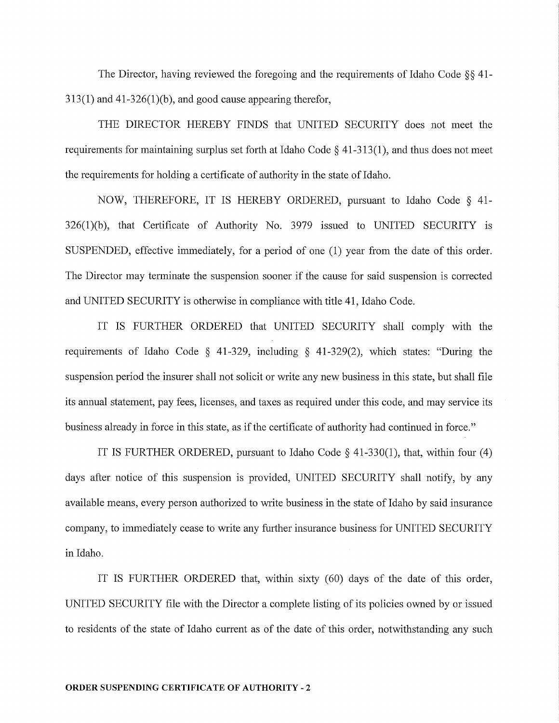The Director, having reviewed the foregoing and the requirements of Idaho Code §§ 41-  $313(1)$  and  $41-326(1)(b)$ , and good cause appearing therefor,

THE DIRECTOR HEREBY FINDS that UNITED SECURITY does not meet the requirements for maintaining surplus set forth at Idaho Code  $\S$  41-313(1), and thus does not meet the requirements for holding a certificate of authority in the state of Idaho.

NOW, THEREFORE, IT IS HEREBY ORDERED, pursuant to Idaho Code § 41- 326(1)(b), that Certificate of Authority No. 3979 issued to UNITED SECURITY is SUSPENDED, effective immediately, for a period of one (1) year from the date of this order. The Director may terminate the suspension sooner if the cause for said suspension is corrected and UNITED SECURITY is otherwise in compliance with title 41, Idaho Code.

IT IS FURTHER ORDERED that UNITED SECURITY shall comply with the requirements of Idaho Code § 41-329, including § 41-329(2), which states: "During the suspension period the insurer shall not solicit or write any new business in this state, but shall file its annual statement, pay fees, licenses, and taxes as required under this code, and may service its business already in force in this state, as if the certificate of authority had continued in force."

IT IS FURTHER ORDERED, pursuant to Idaho Code  $\S$  41-330(1), that, within four (4) days after notice of this suspension is provided, UNITED SECURITY shall notify, by any available means, every person authorized to write business in the state of Idaho by said insurance company, to immediately cease to write any further insurance business for UNITED SECURITY in Idaho.

IT IS FURTHER ORDERED that, within sixty (60) days of the date of this order, UNITED SECURITY file with the Director a complete listing of its policies owned by or issued to residents of the state of Idaho current as of the date of this order, notwithstanding any such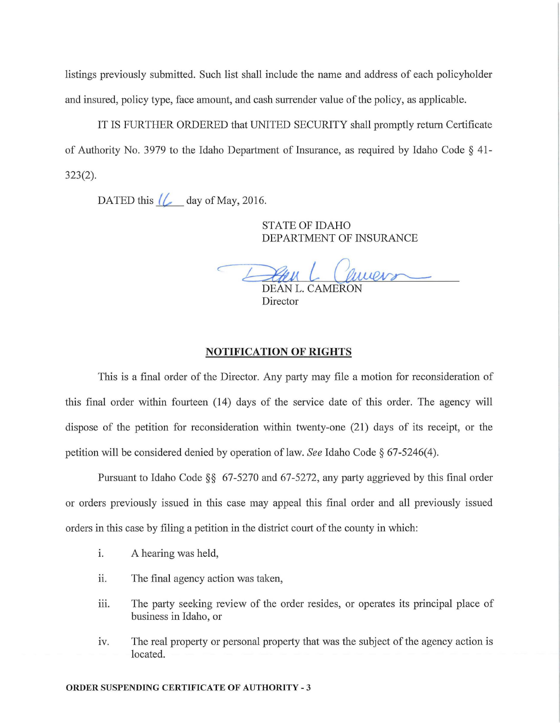listings previously submitted. Such list shall include the name and address of each policyholder and insured, policy type, face amount, and cash surrender value of the policy, as applicable.

IT IS FURTHER ORDERED that UNITED SECURITY shall promptly return Certificate of Authority No. 3979 to the Idaho Department of Insurance, as required by Idaho Code  $\S$  41-323(2).

DATED this  $\ll$  day of May, 2016.

STATE OF IDAHO DEPARTMENT OF INSURANCE

 $-$ DEAN L. CAMERON HO<br>`OF INSURANCE<br>*Quuend* 

Director

#### NOTIFICATION OF RIGHTS

This is a final order of the Director. Any party may file a motion for reconsideration of this final order within fourteen (14) days of the service date of this order. The agency will dispose of the petition for reconsideration within twenty-one (21) days of its receipt, or the petition will be considered denied by operation of law. *See* Idaho Code § 67-5246(4).

Pursuant to Idaho Code §§ 67-5270 and 67-5272, any party aggrieved by this final order or orders previously issued in this case may appeal this final order and all previously issued orders in this case by filing a petition in the district court of the county in which:

- i. A hearing was held,
- ii. The final agency action was taken,
- iii. The party seeking review of the order resides, or operates its principal place of business in Idaho, or
- iv. The real property or personal property that was the subject of the agency action is located.

#### ORDER SUSPENDING CERTIFICATE OF AUTHORITY - 3